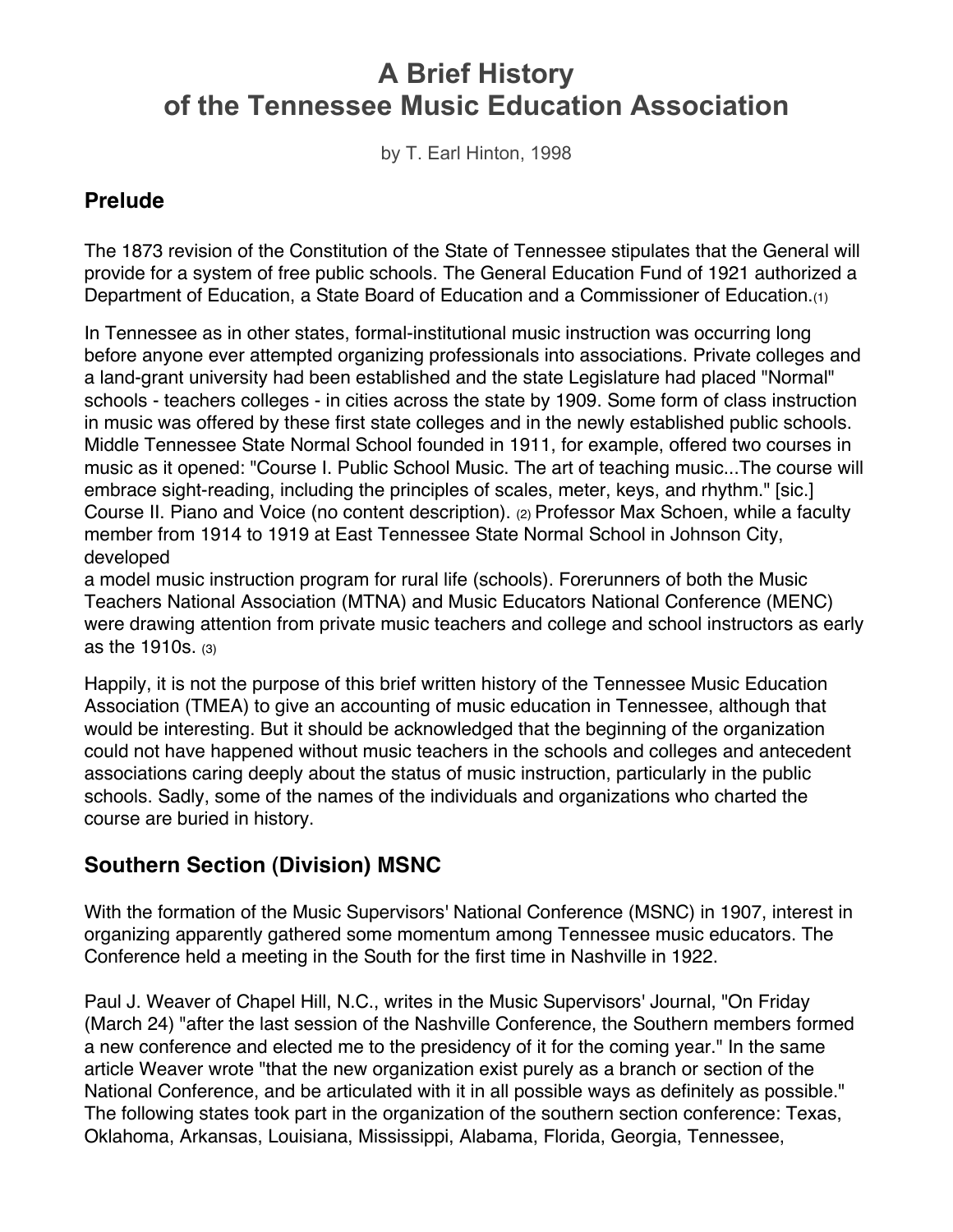# **A Brief History of the Tennessee Music Education Association**

by T. Earl Hinton, 1998

#### **Prelude**

The 1873 revision of the Constitution of the State of Tennessee stipulates that the General will provide for a system of free public schools. The General Education Fund of 1921 authorized a Department of Education, a State Board of Education and a Commissioner of Education.(1)

In Tennessee as in other states, formal-institutional music instruction was occurring long before anyone ever attempted organizing professionals into associations. Private colleges and a land-grant university had been established and the state Legislature had placed "Normal" schools - teachers colleges - in cities across the state by 1909. Some form of class instruction in music was offered by these first state colleges and in the newly established public schools. Middle Tennessee State Normal School founded in 1911, for example, offered two courses in music as it opened: "Course I. Public School Music. The art of teaching music...The course will embrace sight-reading, including the principles of scales, meter, keys, and rhythm." [sic.] Course II. Piano and Voice (no content description). (2) Professor Max Schoen, while a faculty member from 1914 to 1919 at East Tennessee State Normal School in Johnson City, developed

a model music instruction program for rural life (schools). Forerunners of both the Music Teachers National Association (MTNA) and Music Educators National Conference (MENC) were drawing attention from private music teachers and college and school instructors as early as the 1910s. (3)

Happily, it is not the purpose of this brief written history of the Tennessee Music Education Association (TMEA) to give an accounting of music education in Tennessee, although that would be interesting. But it should be acknowledged that the beginning of the organization could not have happened without music teachers in the schools and colleges and antecedent associations caring deeply about the status of music instruction, particularly in the public schools. Sadly, some of the names of the individuals and organizations who charted the course are buried in history.

## **Southern Section (Division) MSNC**

With the formation of the Music Supervisors' National Conference (MSNC) in 1907, interest in organizing apparently gathered some momentum among Tennessee music educators. The Conference held a meeting in the South for the first time in Nashville in 1922.

Paul J. Weaver of Chapel Hill, N.C., writes in the Music Supervisors' Journal, "On Friday (March 24) "after the last session of the Nashville Conference, the Southern members formed a new conference and elected me to the presidency of it for the coming year." In the same article Weaver wrote "that the new organization exist purely as a branch or section of the National Conference, and be articulated with it in all possible ways as definitely as possible." The following states took part in the organization of the southern section conference: Texas, Oklahoma, Arkansas, Louisiana, Mississippi, Alabama, Florida, Georgia, Tennessee,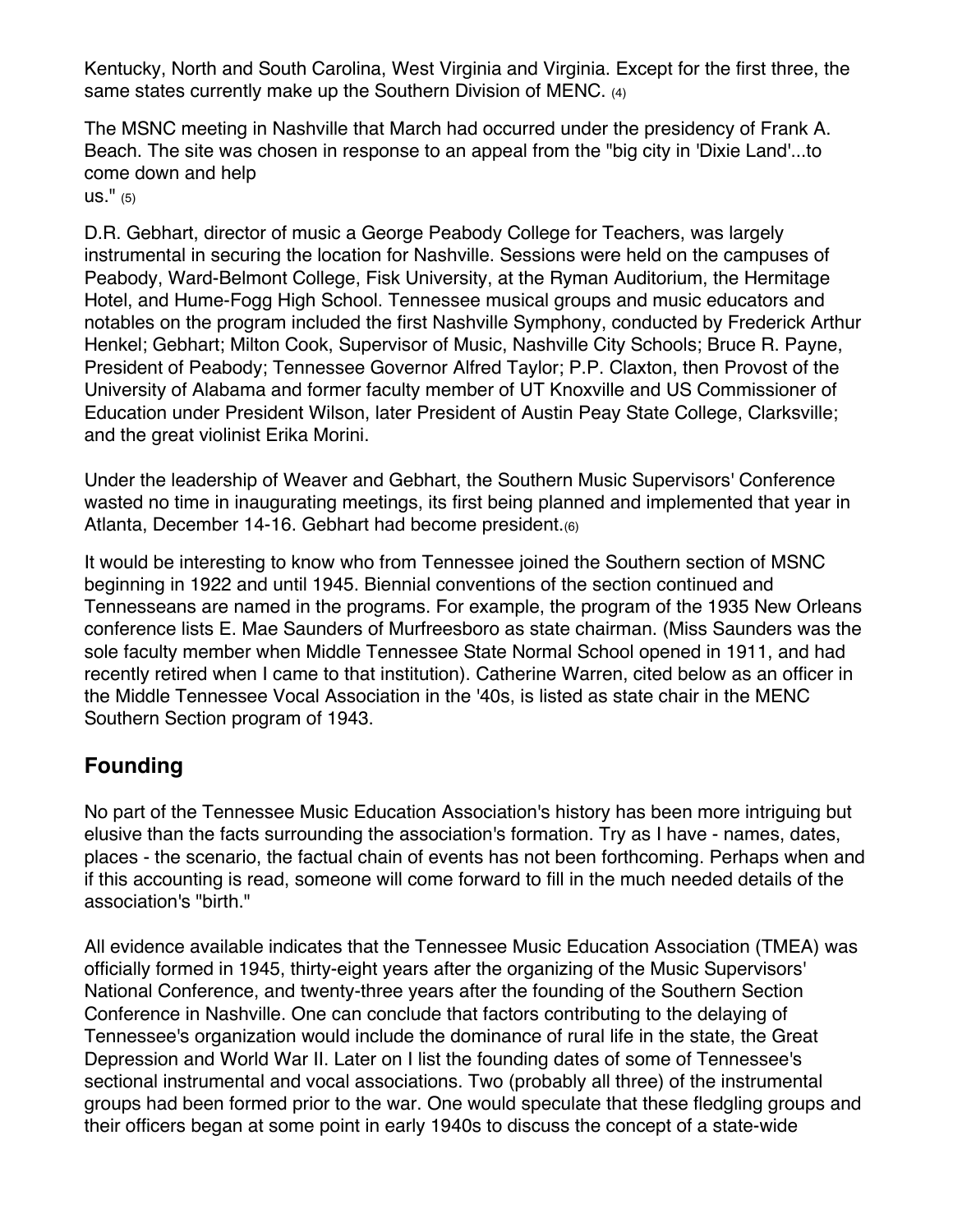Kentucky, North and South Carolina, West Virginia and Virginia. Except for the first three, the same states currently make up the Southern Division of MENC. (4)

The MSNC meeting in Nashville that March had occurred under the presidency of Frank A. Beach. The site was chosen in response to an appeal from the "big city in 'Dixie Land'...to come down and help

us." (5)

D.R. Gebhart, director of music a George Peabody College for Teachers, was largely instrumental in securing the location for Nashville. Sessions were held on the campuses of Peabody, Ward-Belmont College, Fisk University, at the Ryman Auditorium, the Hermitage Hotel, and Hume-Fogg High School. Tennessee musical groups and music educators and notables on the program included the first Nashville Symphony, conducted by Frederick Arthur Henkel; Gebhart; Milton Cook, Supervisor of Music, Nashville City Schools; Bruce R. Payne, President of Peabody; Tennessee Governor Alfred Taylor; P.P. Claxton, then Provost of the University of Alabama and former faculty member of UT Knoxville and US Commissioner of Education under President Wilson, later President of Austin Peay State College, Clarksville; and the great violinist Erika Morini.

Under the leadership of Weaver and Gebhart, the Southern Music Supervisors' Conference wasted no time in inaugurating meetings, its first being planned and implemented that year in Atlanta, December 14-16. Gebhart had become president.(6)

It would be interesting to know who from Tennessee joined the Southern section of MSNC beginning in 1922 and until 1945. Biennial conventions of the section continued and Tennesseans are named in the programs. For example, the program of the 1935 New Orleans conference lists E. Mae Saunders of Murfreesboro as state chairman. (Miss Saunders was the sole faculty member when Middle Tennessee State Normal School opened in 1911, and had recently retired when I came to that institution). Catherine Warren, cited below as an officer in the Middle Tennessee Vocal Association in the '40s, is listed as state chair in the MENC Southern Section program of 1943.

## **Founding**

No part of the Tennessee Music Education Association's history has been more intriguing but elusive than the facts surrounding the association's formation. Try as I have - names, dates, places - the scenario, the factual chain of events has not been forthcoming. Perhaps when and if this accounting is read, someone will come forward to fill in the much needed details of the association's "birth."

All evidence available indicates that the Tennessee Music Education Association (TMEA) was officially formed in 1945, thirty-eight years after the organizing of the Music Supervisors' National Conference, and twenty-three years after the founding of the Southern Section Conference in Nashville. One can conclude that factors contributing to the delaying of Tennessee's organization would include the dominance of rural life in the state, the Great Depression and World War II. Later on I list the founding dates of some of Tennessee's sectional instrumental and vocal associations. Two (probably all three) of the instrumental groups had been formed prior to the war. One would speculate that these fledgling groups and their officers began at some point in early 1940s to discuss the concept of a state-wide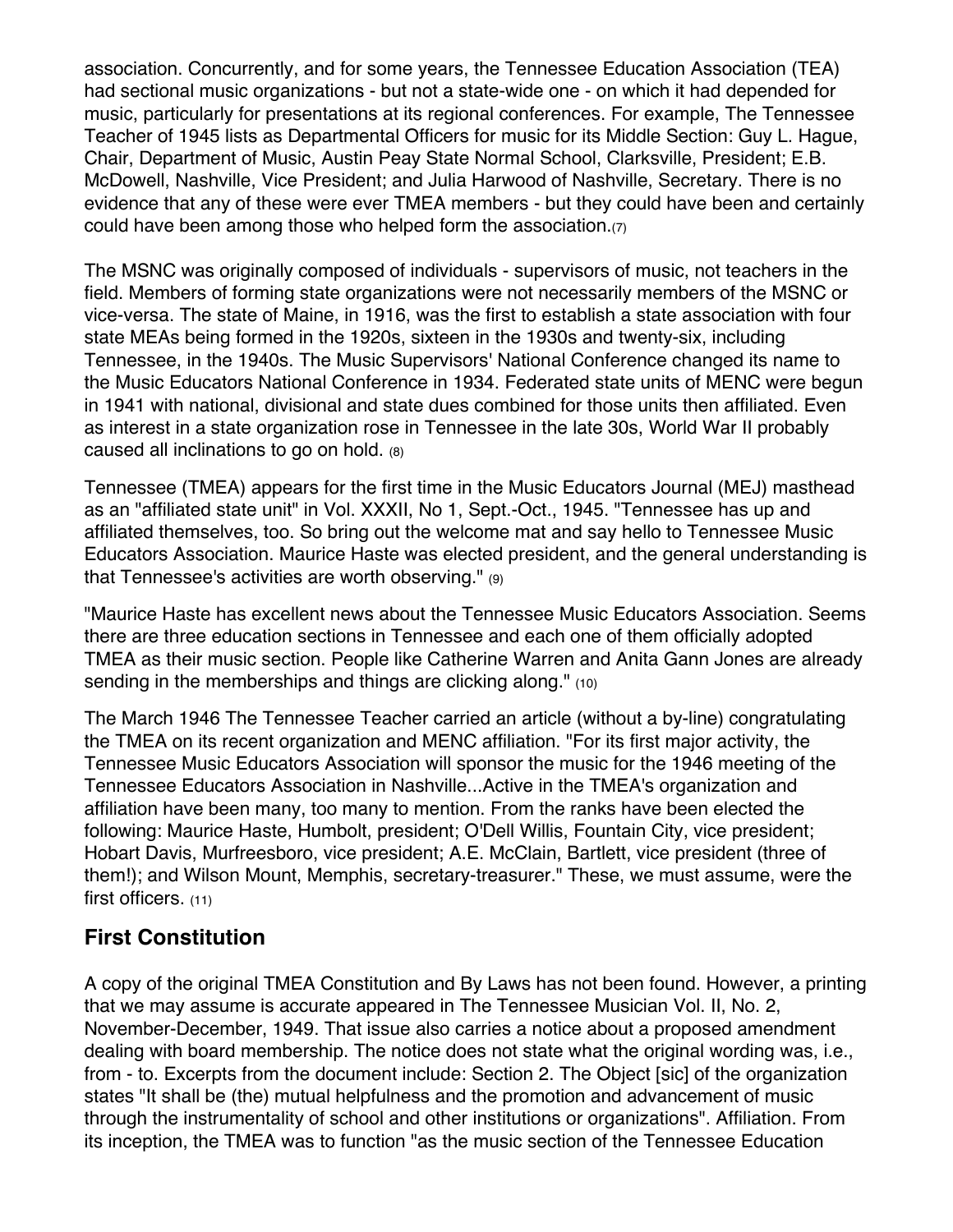association. Concurrently, and for some years, the Tennessee Education Association (TEA) had sectional music organizations - but not a state-wide one - on which it had depended for music, particularly for presentations at its regional conferences. For example, The Tennessee Teacher of 1945 lists as Departmental Officers for music for its Middle Section: Guy L. Hague, Chair, Department of Music, Austin Peay State Normal School, Clarksville, President; E.B. McDowell, Nashville, Vice President; and Julia Harwood of Nashville, Secretary. There is no evidence that any of these were ever TMEA members - but they could have been and certainly could have been among those who helped form the association.(7)

The MSNC was originally composed of individuals - supervisors of music, not teachers in the field. Members of forming state organizations were not necessarily members of the MSNC or vice-versa. The state of Maine, in 1916, was the first to establish a state association with four state MEAs being formed in the 1920s, sixteen in the 1930s and twenty-six, including Tennessee, in the 1940s. The Music Supervisors' National Conference changed its name to the Music Educators National Conference in 1934. Federated state units of MENC were begun in 1941 with national, divisional and state dues combined for those units then affiliated. Even as interest in a state organization rose in Tennessee in the late 30s, World War II probably caused all inclinations to go on hold. (8)

Tennessee (TMEA) appears for the first time in the Music Educators Journal (MEJ) masthead as an "affiliated state unit" in Vol. XXXII, No 1, Sept.-Oct., 1945. "Tennessee has up and affiliated themselves, too. So bring out the welcome mat and say hello to Tennessee Music Educators Association. Maurice Haste was elected president, and the general understanding is that Tennessee's activities are worth observing." (9)

"Maurice Haste has excellent news about the Tennessee Music Educators Association. Seems there are three education sections in Tennessee and each one of them officially adopted TMEA as their music section. People like Catherine Warren and Anita Gann Jones are already sending in the memberships and things are clicking along." (10)

The March 1946 The Tennessee Teacher carried an article (without a by-line) congratulating the TMEA on its recent organization and MENC affiliation. "For its first major activity, the Tennessee Music Educators Association will sponsor the music for the 1946 meeting of the Tennessee Educators Association in Nashville...Active in the TMEA's organization and affiliation have been many, too many to mention. From the ranks have been elected the following: Maurice Haste, Humbolt, president; O'Dell Willis, Fountain City, vice president; Hobart Davis, Murfreesboro, vice president; A.E. McClain, Bartlett, vice president (three of them!); and Wilson Mount, Memphis, secretary-treasurer." These, we must assume, were the first officers. (11)

#### **First Constitution**

A copy of the original TMEA Constitution and By Laws has not been found. However, a printing that we may assume is accurate appeared in The Tennessee Musician Vol. II, No. 2, November-December, 1949. That issue also carries a notice about a proposed amendment dealing with board membership. The notice does not state what the original wording was, i.e., from - to. Excerpts from the document include: Section 2. The Object [sic] of the organization states "It shall be (the) mutual helpfulness and the promotion and advancement of music through the instrumentality of school and other institutions or organizations". Affiliation. From its inception, the TMEA was to function "as the music section of the Tennessee Education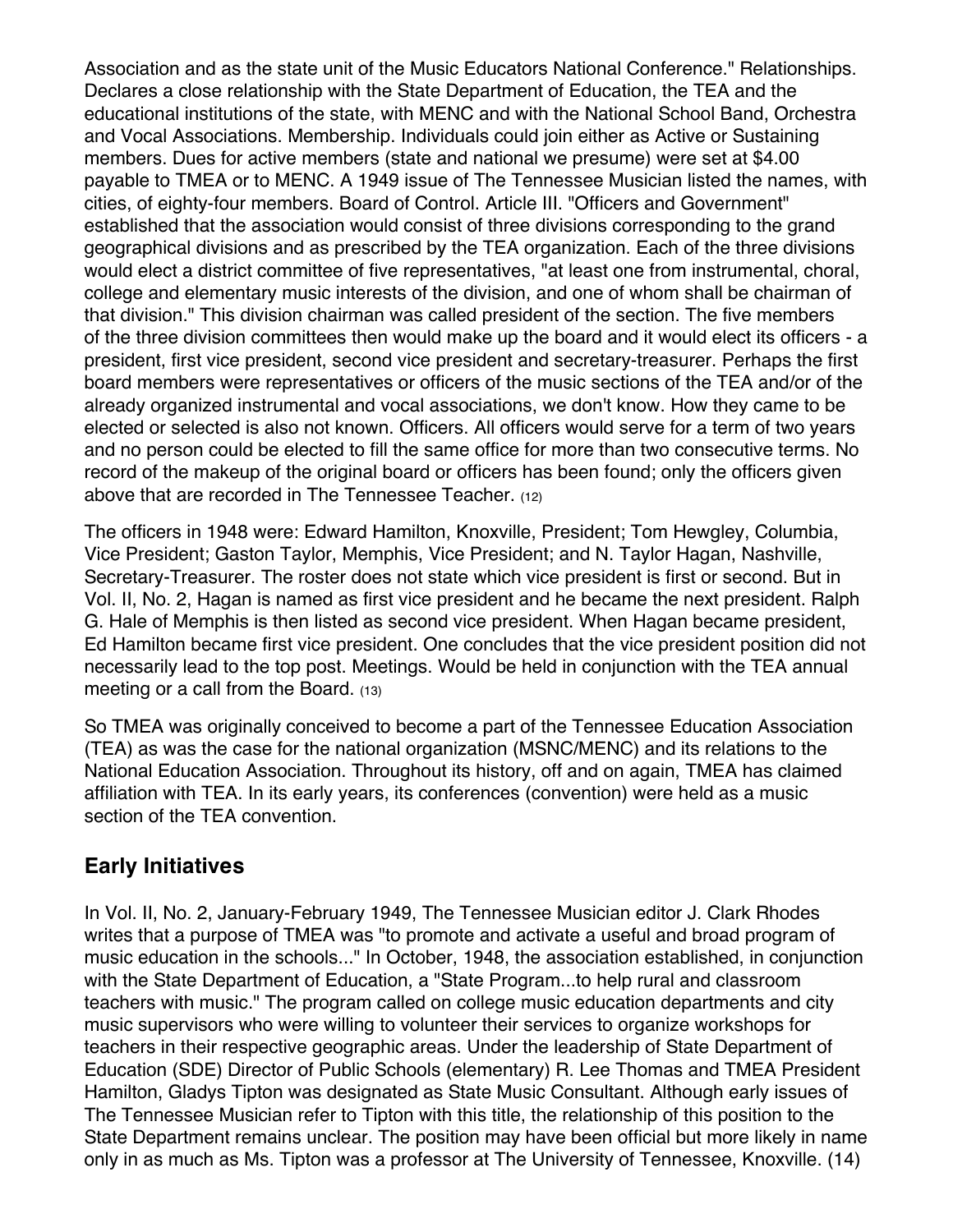Association and as the state unit of the Music Educators National Conference." Relationships. Declares a close relationship with the State Department of Education, the TEA and the educational institutions of the state, with MENC and with the National School Band, Orchestra and Vocal Associations. Membership. Individuals could join either as Active or Sustaining members. Dues for active members (state and national we presume) were set at \$4.00 payable to TMEA or to MENC. A 1949 issue of The Tennessee Musician listed the names, with cities, of eighty-four members. Board of Control. Article III. "Officers and Government" established that the association would consist of three divisions corresponding to the grand geographical divisions and as prescribed by the TEA organization. Each of the three divisions would elect a district committee of five representatives, "at least one from instrumental, choral, college and elementary music interests of the division, and one of whom shall be chairman of that division." This division chairman was called president of the section. The five members of the three division committees then would make up the board and it would elect its officers - a president, first vice president, second vice president and secretary-treasurer. Perhaps the first board members were representatives or officers of the music sections of the TEA and/or of the already organized instrumental and vocal associations, we don't know. How they came to be elected or selected is also not known. Officers. All officers would serve for a term of two years and no person could be elected to fill the same office for more than two consecutive terms. No record of the makeup of the original board or officers has been found; only the officers given above that are recorded in The Tennessee Teacher. (12)

The officers in 1948 were: Edward Hamilton, Knoxville, President; Tom Hewgley, Columbia, Vice President; Gaston Taylor, Memphis, Vice President; and N. Taylor Hagan, Nashville, Secretary-Treasurer. The roster does not state which vice president is first or second. But in Vol. II, No. 2, Hagan is named as first vice president and he became the next president. Ralph G. Hale of Memphis is then listed as second vice president. When Hagan became president, Ed Hamilton became first vice president. One concludes that the vice president position did not necessarily lead to the top post. Meetings. Would be held in conjunction with the TEA annual meeting or a call from the Board. (13)

So TMEA was originally conceived to become a part of the Tennessee Education Association (TEA) as was the case for the national organization (MSNC/MENC) and its relations to the National Education Association. Throughout its history, off and on again, TMEA has claimed affiliation with TEA. In its early years, its conferences (convention) were held as a music section of the TEA convention.

## **Early Initiatives**

In Vol. II, No. 2, January-February 1949, The Tennessee Musician editor J. Clark Rhodes writes that a purpose of TMEA was "to promote and activate a useful and broad program of music education in the schools..." In October, 1948, the association established, in conjunction with the State Department of Education, a "State Program...to help rural and classroom teachers with music." The program called on college music education departments and city music supervisors who were willing to volunteer their services to organize workshops for teachers in their respective geographic areas. Under the leadership of State Department of Education (SDE) Director of Public Schools (elementary) R. Lee Thomas and TMEA President Hamilton, Gladys Tipton was designated as State Music Consultant. Although early issues of The Tennessee Musician refer to Tipton with this title, the relationship of this position to the State Department remains unclear. The position may have been official but more likely in name only in as much as Ms. Tipton was a professor at The University of Tennessee, Knoxville. (14)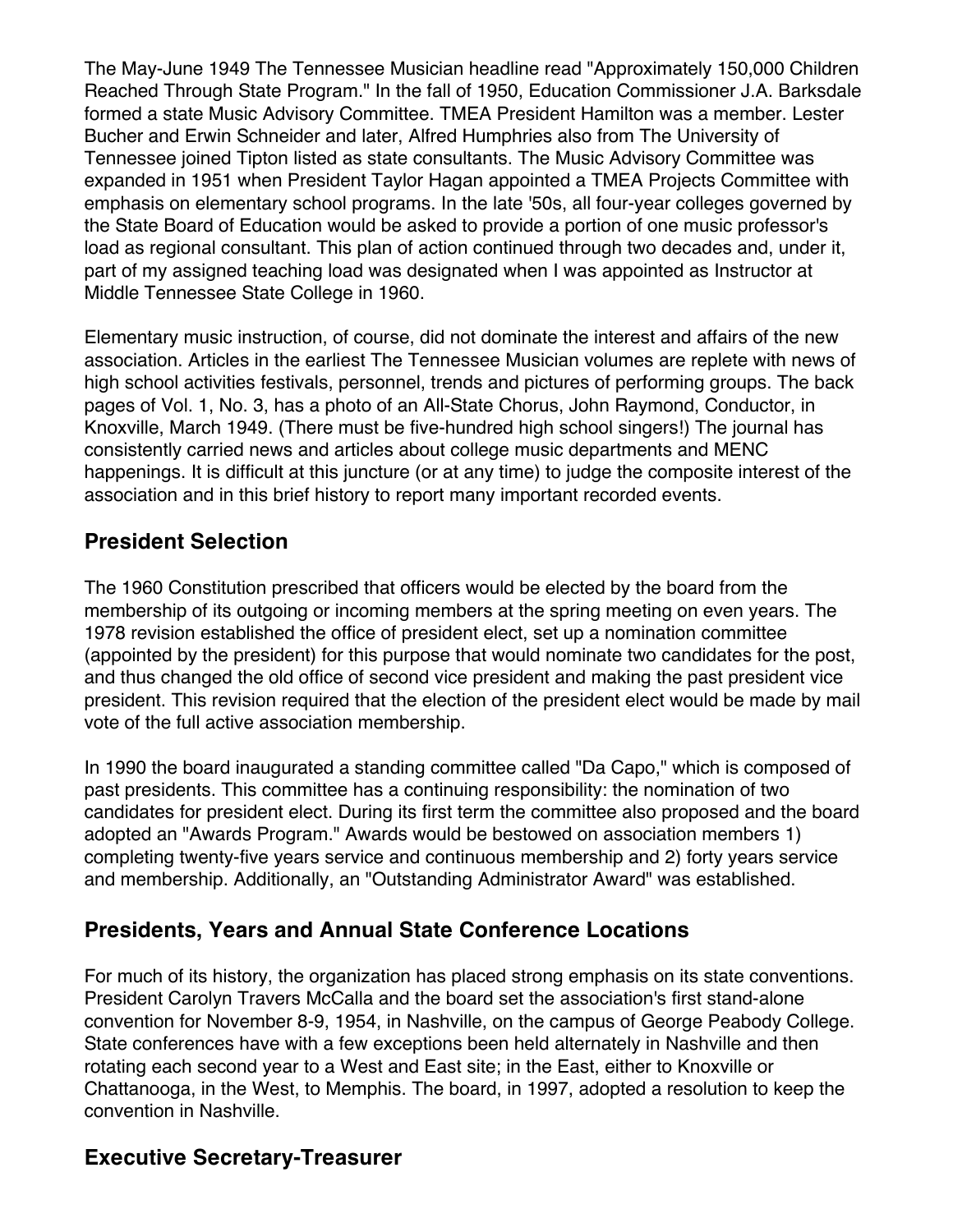The May-June 1949 The Tennessee Musician headline read "Approximately 150,000 Children Reached Through State Program." In the fall of 1950, Education Commissioner J.A. Barksdale formed a state Music Advisory Committee. TMEA President Hamilton was a member. Lester Bucher and Erwin Schneider and later, Alfred Humphries also from The University of Tennessee joined Tipton listed as state consultants. The Music Advisory Committee was expanded in 1951 when President Taylor Hagan appointed a TMEA Projects Committee with emphasis on elementary school programs. In the late '50s, all four-year colleges governed by the State Board of Education would be asked to provide a portion of one music professor's load as regional consultant. This plan of action continued through two decades and, under it, part of my assigned teaching load was designated when I was appointed as Instructor at Middle Tennessee State College in 1960.

Elementary music instruction, of course, did not dominate the interest and affairs of the new association. Articles in the earliest The Tennessee Musician volumes are replete with news of high school activities festivals, personnel, trends and pictures of performing groups. The back pages of Vol. 1, No. 3, has a photo of an All-State Chorus, John Raymond, Conductor, in Knoxville, March 1949. (There must be five-hundred high school singers!) The journal has consistently carried news and articles about college music departments and MENC happenings. It is difficult at this juncture (or at any time) to judge the composite interest of the association and in this brief history to report many important recorded events.

#### **President Selection**

The 1960 Constitution prescribed that officers would be elected by the board from the membership of its outgoing or incoming members at the spring meeting on even years. The 1978 revision established the office of president elect, set up a nomination committee (appointed by the president) for this purpose that would nominate two candidates for the post, and thus changed the old office of second vice president and making the past president vice president. This revision required that the election of the president elect would be made by mail vote of the full active association membership.

In 1990 the board inaugurated a standing committee called "Da Capo," which is composed of past presidents. This committee has a continuing responsibility: the nomination of two candidates for president elect. During its first term the committee also proposed and the board adopted an "Awards Program." Awards would be bestowed on association members 1) completing twenty-five years service and continuous membership and 2) forty years service and membership. Additionally, an "Outstanding Administrator Award" was established.

## **Presidents, Years and Annual State Conference Locations**

For much of its history, the organization has placed strong emphasis on its state conventions. President Carolyn Travers McCalla and the board set the association's first stand-alone convention for November 8-9, 1954, in Nashville, on the campus of George Peabody College. State conferences have with a few exceptions been held alternately in Nashville and then rotating each second year to a West and East site; in the East, either to Knoxville or Chattanooga, in the West, to Memphis. The board, in 1997, adopted a resolution to keep the convention in Nashville.

## **Executive Secretary-Treasurer**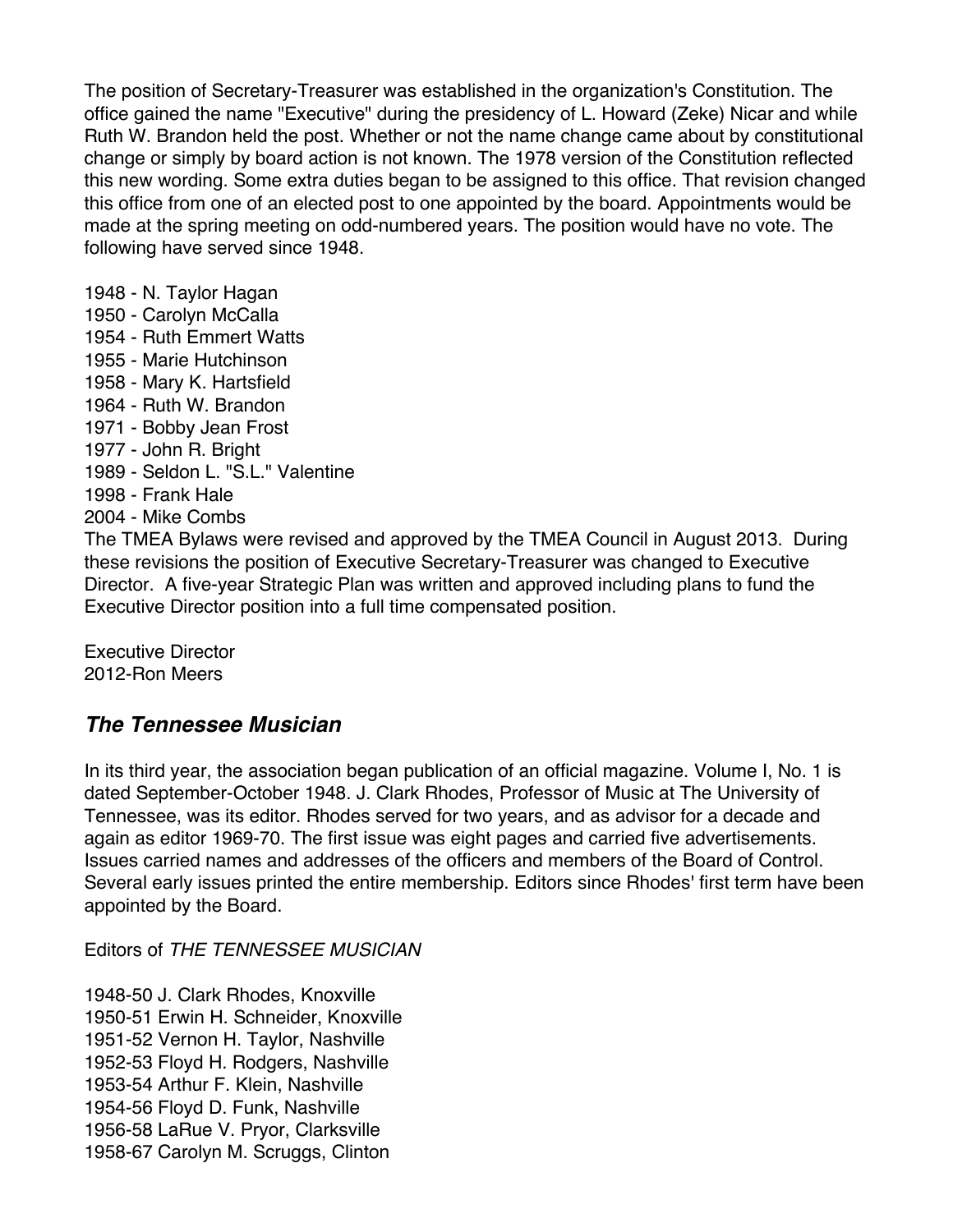The position of Secretary-Treasurer was established in the organization's Constitution. The office gained the name "Executive" during the presidency of L. Howard (Zeke) Nicar and while Ruth W. Brandon held the post. Whether or not the name change came about by constitutional change or simply by board action is not known. The 1978 version of the Constitution reflected this new wording. Some extra duties began to be assigned to this office. That revision changed this office from one of an elected post to one appointed by the board. Appointments would be made at the spring meeting on odd-numbered years. The position would have no vote. The following have served since 1948.

1948 - N. Taylor Hagan 1950 - Carolyn McCalla 1954 - Ruth Emmert Watts 1955 - Marie Hutchinson 1958 - Mary K. Hartsfield 1964 - Ruth W. Brandon 1971 - Bobby Jean Frost 1977 - John R. Bright 1989 - Seldon L. "S.L." Valentine 1998 - Frank Hale 2004 - Mike Combs

The TMEA Bylaws were revised and approved by the TMEA Council in August 2013. During these revisions the position of Executive Secretary-Treasurer was changed to Executive Director. A five-year Strategic Plan was written and approved including plans to fund the Executive Director position into a full time compensated position.

Executive Director 2012-Ron Meers

#### *The Tennessee Musician*

In its third year, the association began publication of an official magazine. Volume I, No. 1 is dated September-October 1948. J. Clark Rhodes, Professor of Music at The University of Tennessee, was its editor. Rhodes served for two years, and as advisor for a decade and again as editor 1969-70. The first issue was eight pages and carried five advertisements. Issues carried names and addresses of the officers and members of the Board of Control. Several early issues printed the entire membership. Editors since Rhodes' first term have been appointed by the Board.

Editors of *THE TENNESSEE MUSICIAN*

1948-50 J. Clark Rhodes, Knoxville 1950-51 Erwin H. Schneider, Knoxville 1951-52 Vernon H. Taylor, Nashville 1952-53 Floyd H. Rodgers, Nashville 1953-54 Arthur F. Klein, Nashville 1954-56 Floyd D. Funk, Nashville 1956-58 LaRue V. Pryor, Clarksville 1958-67 Carolyn M. Scruggs, Clinton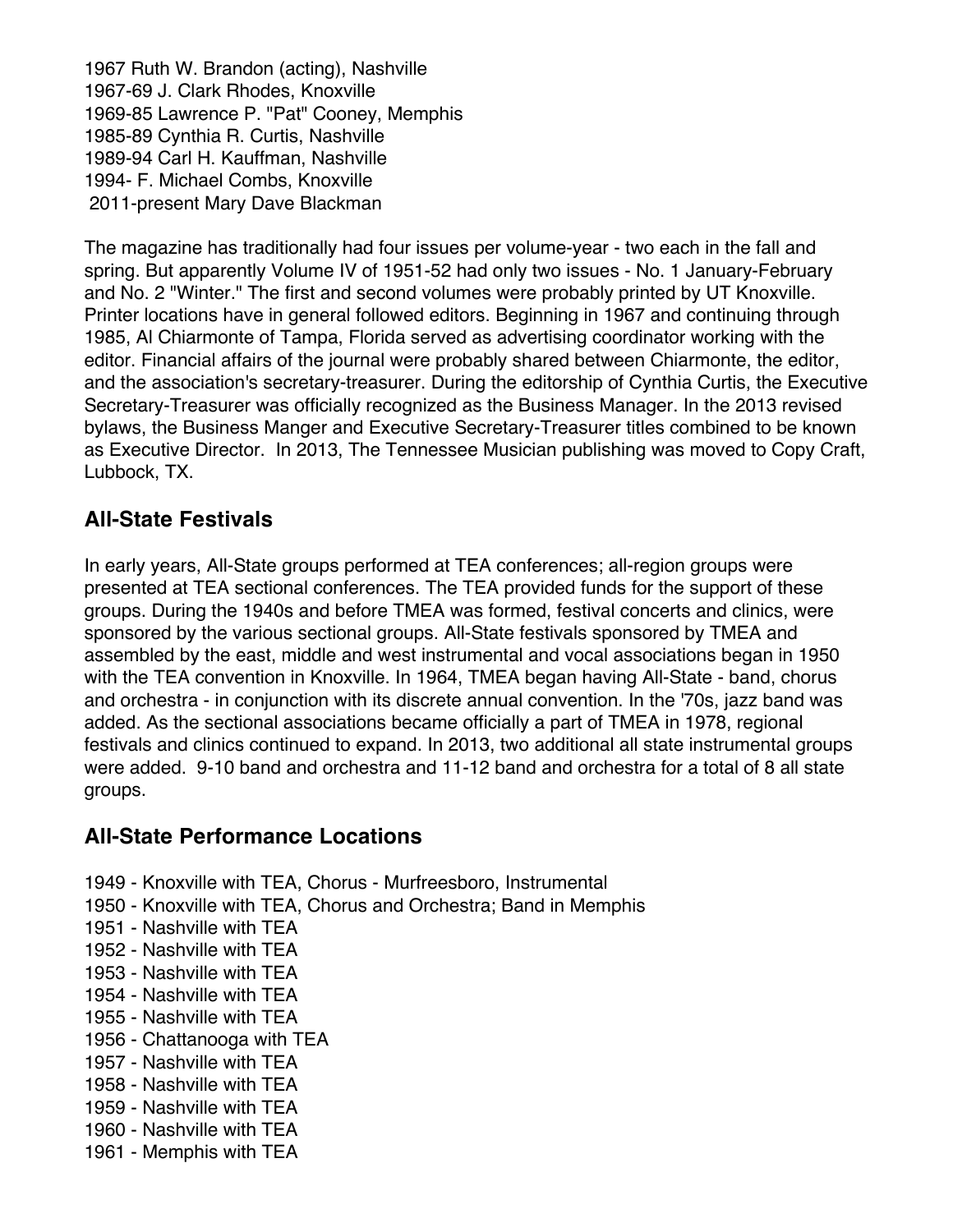1967 Ruth W. Brandon (acting), Nashville 1967-69 J. Clark Rhodes, Knoxville 1969-85 Lawrence P. "Pat" Cooney, Memphis 1985-89 Cynthia R. Curtis, Nashville 1989-94 Carl H. Kauffman, Nashville 1994- F. Michael Combs, Knoxville 2011-present Mary Dave Blackman

The magazine has traditionally had four issues per volume-year - two each in the fall and spring. But apparently Volume IV of 1951-52 had only two issues - No. 1 January-February and No. 2 "Winter." The first and second volumes were probably printed by UT Knoxville. Printer locations have in general followed editors. Beginning in 1967 and continuing through 1985, Al Chiarmonte of Tampa, Florida served as advertising coordinator working with the editor. Financial affairs of the journal were probably shared between Chiarmonte, the editor, and the association's secretary-treasurer. During the editorship of Cynthia Curtis, the Executive Secretary-Treasurer was officially recognized as the Business Manager. In the 2013 revised bylaws, the Business Manger and Executive Secretary-Treasurer titles combined to be known as Executive Director. In 2013, The Tennessee Musician publishing was moved to Copy Craft, Lubbock, TX.

#### **All-State Festivals**

In early years, All-State groups performed at TEA conferences; all-region groups were presented at TEA sectional conferences. The TEA provided funds for the support of these groups. During the 1940s and before TMEA was formed, festival concerts and clinics, were sponsored by the various sectional groups. All-State festivals sponsored by TMEA and assembled by the east, middle and west instrumental and vocal associations began in 1950 with the TEA convention in Knoxville. In 1964, TMEA began having All-State - band, chorus and orchestra - in conjunction with its discrete annual convention. In the '70s, jazz band was added. As the sectional associations became officially a part of TMEA in 1978, regional festivals and clinics continued to expand. In 2013, two additional all state instrumental groups were added. 9-10 band and orchestra and 11-12 band and orchestra for a total of 8 all state groups.

#### **All-State Performance Locations**

- 1949 Knoxville with TEA, Chorus Murfreesboro, Instrumental
- 1950 Knoxville with TEA, Chorus and Orchestra; Band in Memphis
- 1951 Nashville with TEA
- 1952 Nashville with TEA
- 1953 Nashville with TEA
- 1954 Nashville with TEA
- 1955 Nashville with TEA
- 1956 Chattanooga with TEA
- 1957 Nashville with TEA
- 1958 Nashville with TEA
- 1959 Nashville with TEA
- 1960 Nashville with TEA
- 1961 Memphis with TEA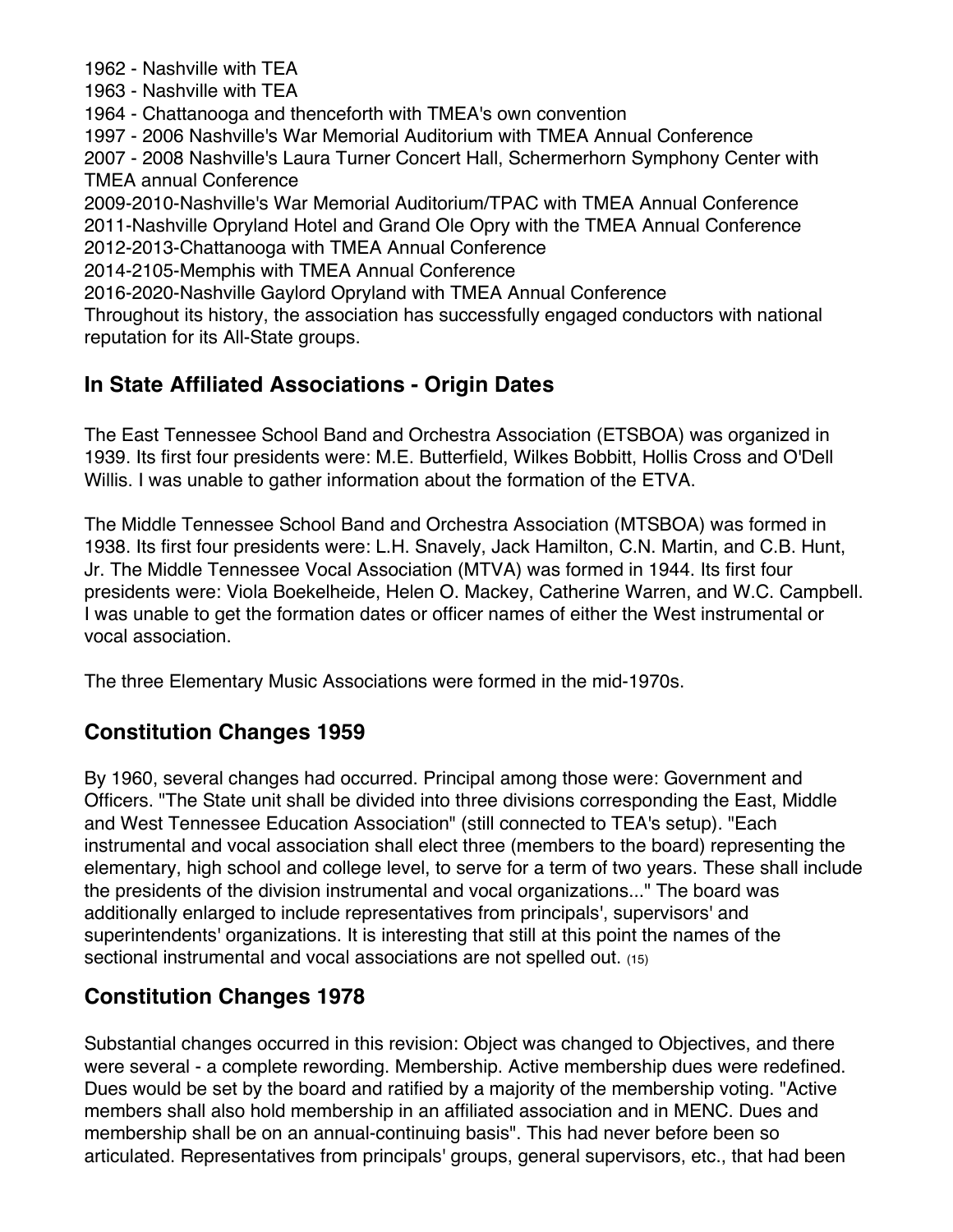1962 - Nashville with TEA

1963 - Nashville with TEA

1964 - Chattanooga and thenceforth with TMEA's own convention

1997 - 2006 Nashville's War Memorial Auditorium with TMEA Annual Conference

2007 - 2008 Nashville's Laura Turner Concert Hall, Schermerhorn Symphony Center with TMEA annual Conference

2009-2010-Nashville's War Memorial Auditorium/TPAC with TMEA Annual Conference 2011-Nashville Opryland Hotel and Grand Ole Opry with the TMEA Annual Conference 2012-2013-Chattanooga with TMEA Annual Conference

2014-2105-Memphis with TMEA Annual Conference

2016-2020-Nashville Gaylord Opryland with TMEA Annual Conference

Throughout its history, the association has successfully engaged conductors with national reputation for its All-State groups.

#### **In State Affiliated Associations - Origin Dates**

The East Tennessee School Band and Orchestra Association (ETSBOA) was organized in 1939. Its first four presidents were: M.E. Butterfield, Wilkes Bobbitt, Hollis Cross and O'Dell Willis. I was unable to gather information about the formation of the ETVA.

The Middle Tennessee School Band and Orchestra Association (MTSBOA) was formed in 1938. Its first four presidents were: L.H. Snavely, Jack Hamilton, C.N. Martin, and C.B. Hunt, Jr. The Middle Tennessee Vocal Association (MTVA) was formed in 1944. Its first four presidents were: Viola Boekelheide, Helen O. Mackey, Catherine Warren, and W.C. Campbell. I was unable to get the formation dates or officer names of either the West instrumental or vocal association.

The three Elementary Music Associations were formed in the mid-1970s.

#### **Constitution Changes 1959**

By 1960, several changes had occurred. Principal among those were: Government and Officers. "The State unit shall be divided into three divisions corresponding the East, Middle and West Tennessee Education Association" (still connected to TEA's setup). "Each instrumental and vocal association shall elect three (members to the board) representing the elementary, high school and college level, to serve for a term of two years. These shall include the presidents of the division instrumental and vocal organizations..." The board was additionally enlarged to include representatives from principals', supervisors' and superintendents' organizations. It is interesting that still at this point the names of the sectional instrumental and vocal associations are not spelled out. (15)

## **Constitution Changes 1978**

Substantial changes occurred in this revision: Object was changed to Objectives, and there were several - a complete rewording. Membership. Active membership dues were redefined. Dues would be set by the board and ratified by a majority of the membership voting. "Active members shall also hold membership in an affiliated association and in MENC. Dues and membership shall be on an annual-continuing basis". This had never before been so articulated. Representatives from principals' groups, general supervisors, etc., that had been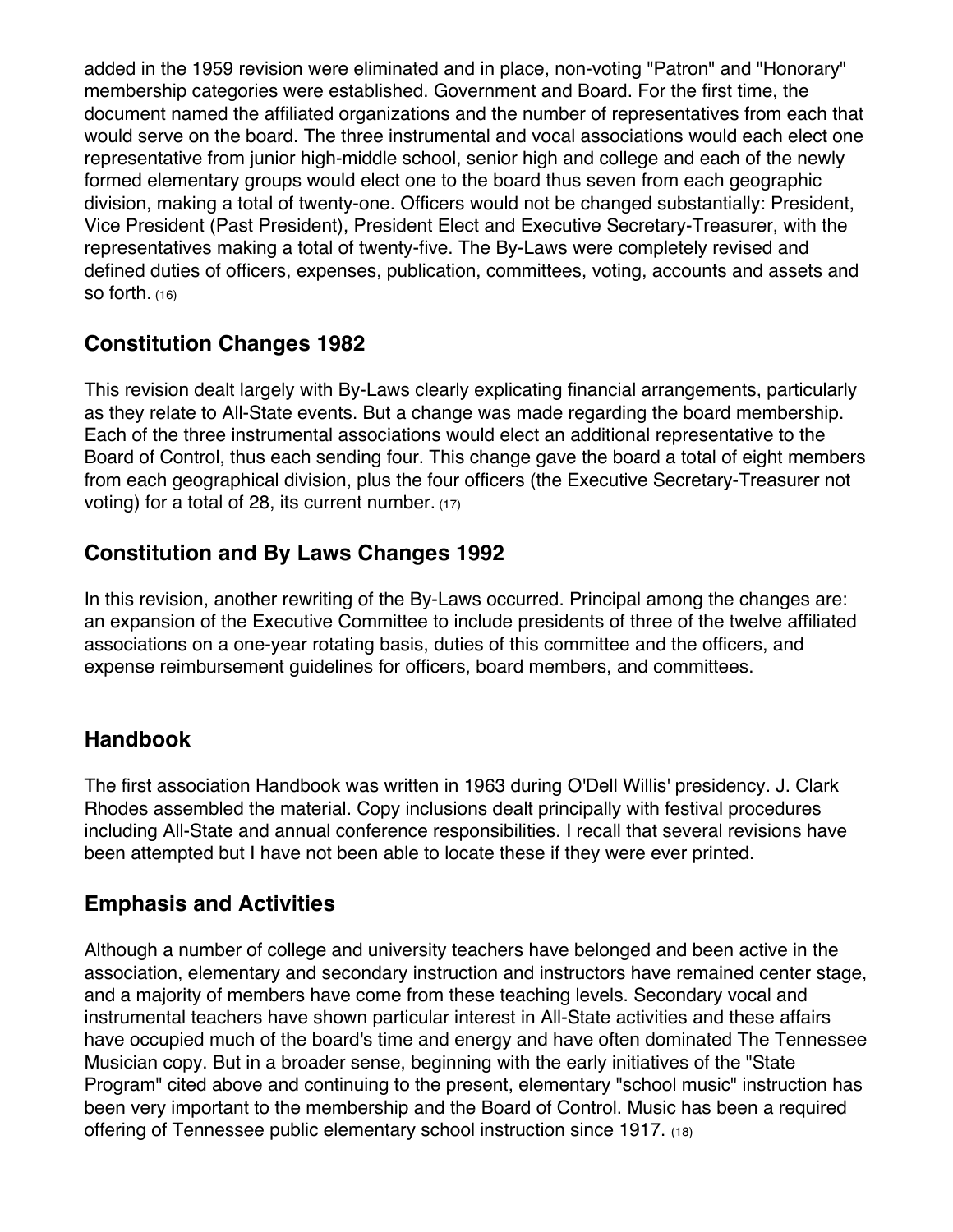added in the 1959 revision were eliminated and in place, non-voting "Patron" and "Honorary" membership categories were established. Government and Board. For the first time, the document named the affiliated organizations and the number of representatives from each that would serve on the board. The three instrumental and vocal associations would each elect one representative from junior high-middle school, senior high and college and each of the newly formed elementary groups would elect one to the board thus seven from each geographic division, making a total of twenty-one. Officers would not be changed substantially: President, Vice President (Past President), President Elect and Executive Secretary-Treasurer, with the representatives making a total of twenty-five. The By-Laws were completely revised and defined duties of officers, expenses, publication, committees, voting, accounts and assets and so forth. (16)

## **Constitution Changes 1982**

This revision dealt largely with By-Laws clearly explicating financial arrangements, particularly as they relate to All-State events. But a change was made regarding the board membership. Each of the three instrumental associations would elect an additional representative to the Board of Control, thus each sending four. This change gave the board a total of eight members from each geographical division, plus the four officers (the Executive Secretary-Treasurer not voting) for a total of 28, its current number. (17)

## **Constitution and By Laws Changes 1992**

In this revision, another rewriting of the By-Laws occurred. Principal among the changes are: an expansion of the Executive Committee to include presidents of three of the twelve affiliated associations on a one-year rotating basis, duties of this committee and the officers, and expense reimbursement guidelines for officers, board members, and committees.

## **Handbook**

The first association Handbook was written in 1963 during O'Dell Willis' presidency. J. Clark Rhodes assembled the material. Copy inclusions dealt principally with festival procedures including All-State and annual conference responsibilities. I recall that several revisions have been attempted but I have not been able to locate these if they were ever printed.

## **Emphasis and Activities**

Although a number of college and university teachers have belonged and been active in the association, elementary and secondary instruction and instructors have remained center stage, and a majority of members have come from these teaching levels. Secondary vocal and instrumental teachers have shown particular interest in All-State activities and these affairs have occupied much of the board's time and energy and have often dominated The Tennessee Musician copy. But in a broader sense, beginning with the early initiatives of the "State Program" cited above and continuing to the present, elementary "school music" instruction has been very important to the membership and the Board of Control. Music has been a required offering of Tennessee public elementary school instruction since 1917. (18)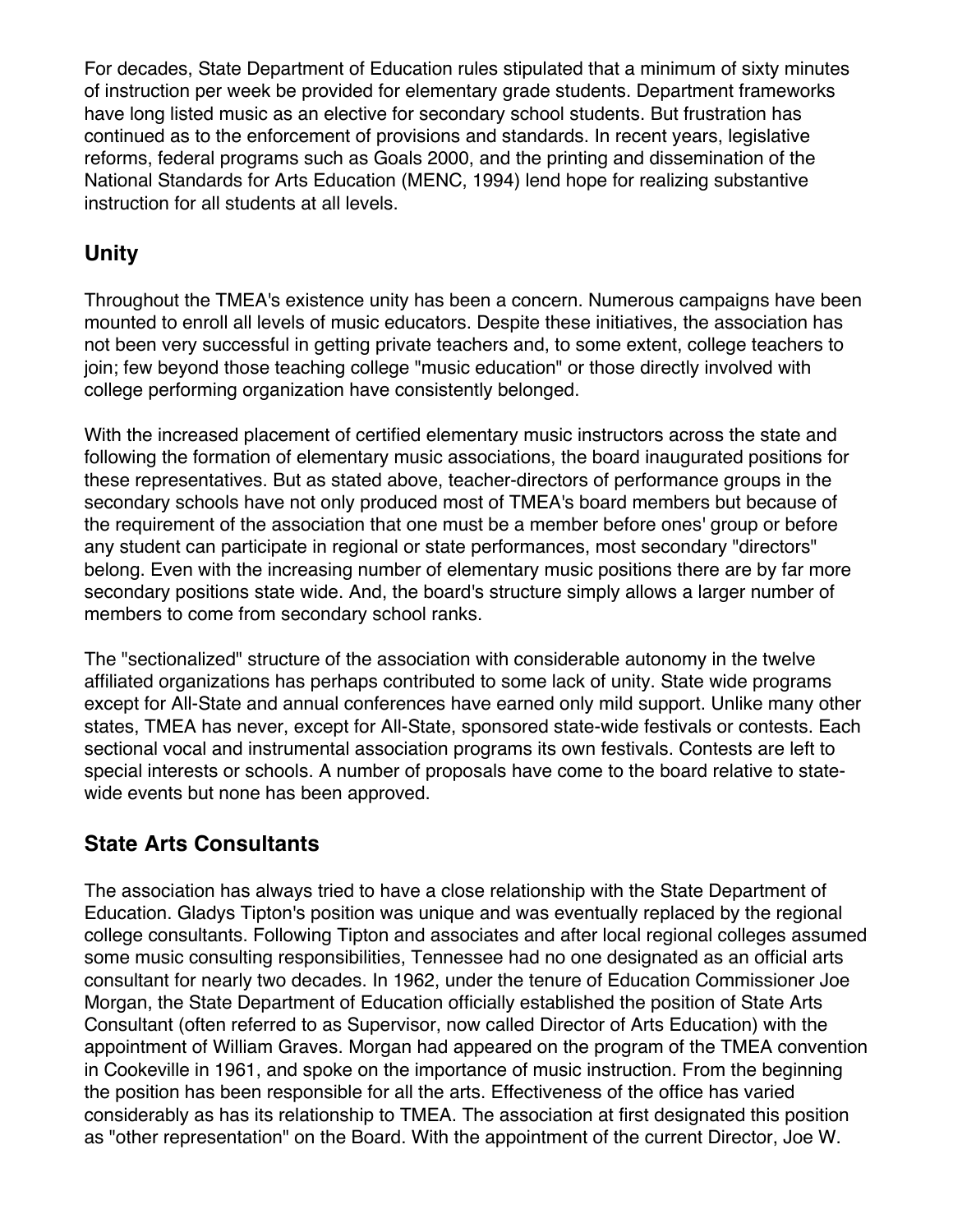For decades, State Department of Education rules stipulated that a minimum of sixty minutes of instruction per week be provided for elementary grade students. Department frameworks have long listed music as an elective for secondary school students. But frustration has continued as to the enforcement of provisions and standards. In recent years, legislative reforms, federal programs such as Goals 2000, and the printing and dissemination of the National Standards for Arts Education (MENC, 1994) lend hope for realizing substantive instruction for all students at all levels.

## **Unity**

Throughout the TMEA's existence unity has been a concern. Numerous campaigns have been mounted to enroll all levels of music educators. Despite these initiatives, the association has not been very successful in getting private teachers and, to some extent, college teachers to join; few beyond those teaching college "music education" or those directly involved with college performing organization have consistently belonged.

With the increased placement of certified elementary music instructors across the state and following the formation of elementary music associations, the board inaugurated positions for these representatives. But as stated above, teacher-directors of performance groups in the secondary schools have not only produced most of TMEA's board members but because of the requirement of the association that one must be a member before ones' group or before any student can participate in regional or state performances, most secondary "directors" belong. Even with the increasing number of elementary music positions there are by far more secondary positions state wide. And, the board's structure simply allows a larger number of members to come from secondary school ranks.

The "sectionalized" structure of the association with considerable autonomy in the twelve affiliated organizations has perhaps contributed to some lack of unity. State wide programs except for All-State and annual conferences have earned only mild support. Unlike many other states, TMEA has never, except for All-State, sponsored state-wide festivals or contests. Each sectional vocal and instrumental association programs its own festivals. Contests are left to special interests or schools. A number of proposals have come to the board relative to statewide events but none has been approved.

## **State Arts Consultants**

The association has always tried to have a close relationship with the State Department of Education. Gladys Tipton's position was unique and was eventually replaced by the regional college consultants. Following Tipton and associates and after local regional colleges assumed some music consulting responsibilities, Tennessee had no one designated as an official arts consultant for nearly two decades. In 1962, under the tenure of Education Commissioner Joe Morgan, the State Department of Education officially established the position of State Arts Consultant (often referred to as Supervisor, now called Director of Arts Education) with the appointment of William Graves. Morgan had appeared on the program of the TMEA convention in Cookeville in 1961, and spoke on the importance of music instruction. From the beginning the position has been responsible for all the arts. Effectiveness of the office has varied considerably as has its relationship to TMEA. The association at first designated this position as "other representation" on the Board. With the appointment of the current Director, Joe W.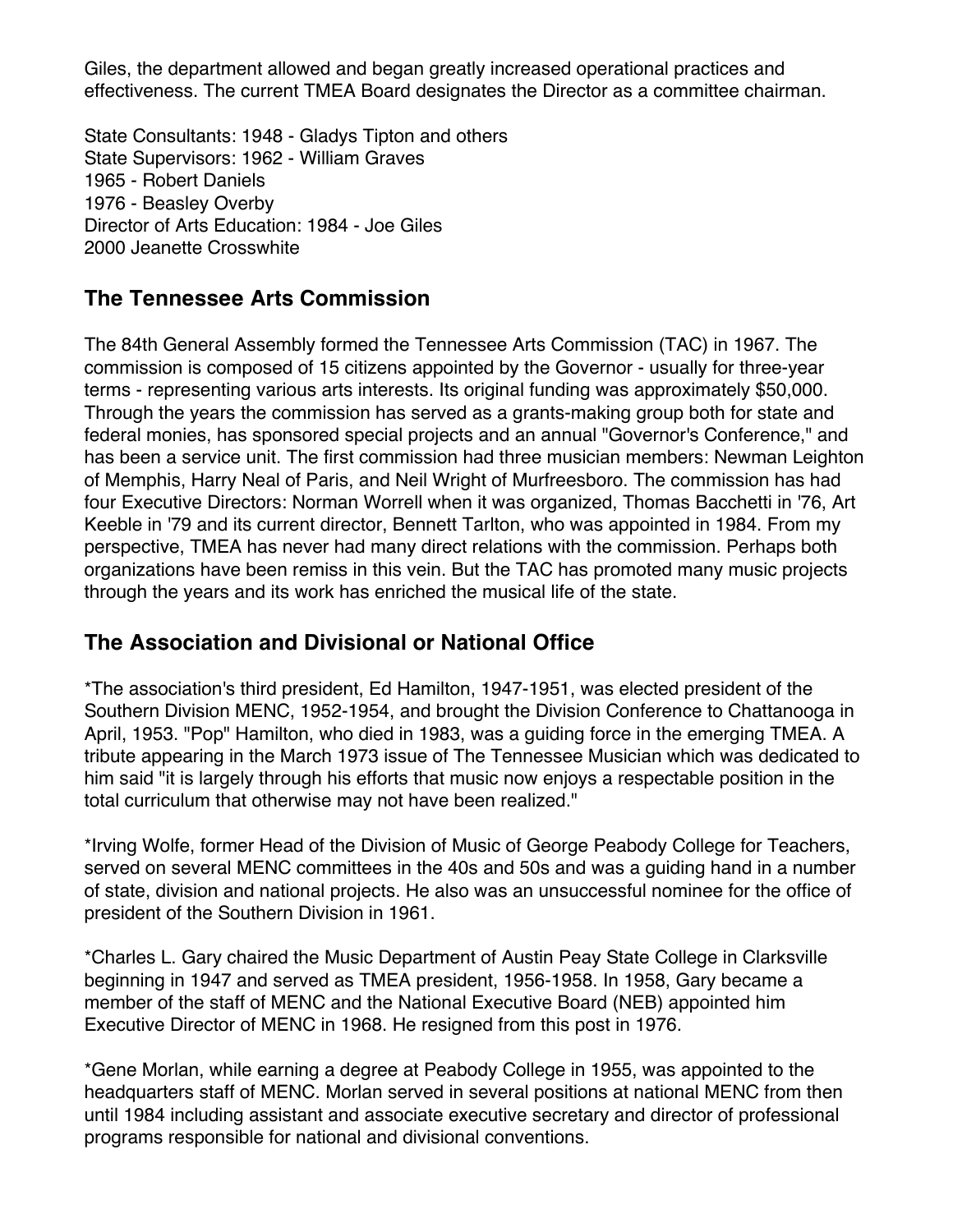Giles, the department allowed and began greatly increased operational practices and effectiveness. The current TMEA Board designates the Director as a committee chairman.

State Consultants: 1948 - Gladys Tipton and others State Supervisors: 1962 - William Graves 1965 - Robert Daniels 1976 - Beasley Overby Director of Arts Education: 1984 - Joe Giles 2000 Jeanette Crosswhite

## **The Tennessee Arts Commission**

The 84th General Assembly formed the Tennessee Arts Commission (TAC) in 1967. The commission is composed of 15 citizens appointed by the Governor - usually for three-year terms - representing various arts interests. Its original funding was approximately \$50,000. Through the years the commission has served as a grants-making group both for state and federal monies, has sponsored special projects and an annual "Governor's Conference," and has been a service unit. The first commission had three musician members: Newman Leighton of Memphis, Harry Neal of Paris, and Neil Wright of Murfreesboro. The commission has had four Executive Directors: Norman Worrell when it was organized, Thomas Bacchetti in '76, Art Keeble in '79 and its current director, Bennett Tarlton, who was appointed in 1984. From my perspective, TMEA has never had many direct relations with the commission. Perhaps both organizations have been remiss in this vein. But the TAC has promoted many music projects through the years and its work has enriched the musical life of the state.

## **The Association and Divisional or National Office**

\*The association's third president, Ed Hamilton, 1947-1951, was elected president of the Southern Division MENC, 1952-1954, and brought the Division Conference to Chattanooga in April, 1953. "Pop" Hamilton, who died in 1983, was a guiding force in the emerging TMEA. A tribute appearing in the March 1973 issue of The Tennessee Musician which was dedicated to him said "it is largely through his efforts that music now enjoys a respectable position in the total curriculum that otherwise may not have been realized."

\*Irving Wolfe, former Head of the Division of Music of George Peabody College for Teachers, served on several MENC committees in the 40s and 50s and was a guiding hand in a number of state, division and national projects. He also was an unsuccessful nominee for the office of president of the Southern Division in 1961.

\*Charles L. Gary chaired the Music Department of Austin Peay State College in Clarksville beginning in 1947 and served as TMEA president, 1956-1958. In 1958, Gary became a member of the staff of MENC and the National Executive Board (NEB) appointed him Executive Director of MENC in 1968. He resigned from this post in 1976.

\*Gene Morlan, while earning a degree at Peabody College in 1955, was appointed to the headquarters staff of MENC. Morlan served in several positions at national MENC from then until 1984 including assistant and associate executive secretary and director of professional programs responsible for national and divisional conventions.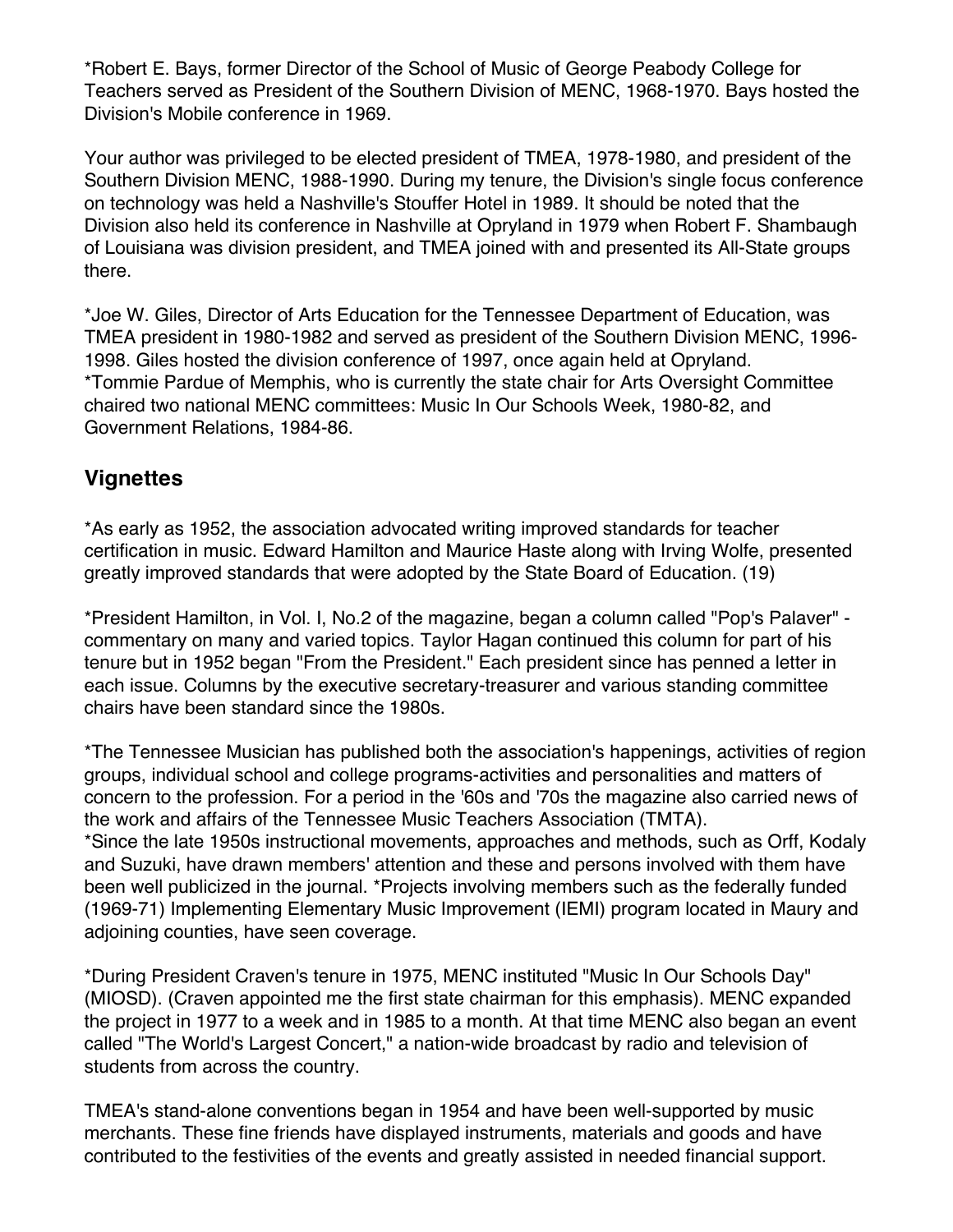\*Robert E. Bays, former Director of the School of Music of George Peabody College for Teachers served as President of the Southern Division of MENC, 1968-1970. Bays hosted the Division's Mobile conference in 1969.

Your author was privileged to be elected president of TMEA, 1978-1980, and president of the Southern Division MENC, 1988-1990. During my tenure, the Division's single focus conference on technology was held a Nashville's Stouffer Hotel in 1989. It should be noted that the Division also held its conference in Nashville at Opryland in 1979 when Robert F. Shambaugh of Louisiana was division president, and TMEA joined with and presented its All-State groups there.

\*Joe W. Giles, Director of Arts Education for the Tennessee Department of Education, was TMEA president in 1980-1982 and served as president of the Southern Division MENC, 1996- 1998. Giles hosted the division conference of 1997, once again held at Opryland. \*Tommie Pardue of Memphis, who is currently the state chair for Arts Oversight Committee chaired two national MENC committees: Music In Our Schools Week, 1980-82, and Government Relations, 1984-86.

#### **Vignettes**

\*As early as 1952, the association advocated writing improved standards for teacher certification in music. Edward Hamilton and Maurice Haste along with Irving Wolfe, presented greatly improved standards that were adopted by the State Board of Education. (19)

\*President Hamilton, in Vol. I, No.2 of the magazine, began a column called "Pop's Palaver" commentary on many and varied topics. Taylor Hagan continued this column for part of his tenure but in 1952 began "From the President." Each president since has penned a letter in each issue. Columns by the executive secretary-treasurer and various standing committee chairs have been standard since the 1980s.

\*The Tennessee Musician has published both the association's happenings, activities of region groups, individual school and college programs-activities and personalities and matters of concern to the profession. For a period in the '60s and '70s the magazine also carried news of the work and affairs of the Tennessee Music Teachers Association (TMTA). \*Since the late 1950s instructional movements, approaches and methods, such as Orff, Kodaly and Suzuki, have drawn members' attention and these and persons involved with them have been well publicized in the journal. \*Projects involving members such as the federally funded (1969-71) Implementing Elementary Music Improvement (IEMI) program located in Maury and adjoining counties, have seen coverage.

\*During President Craven's tenure in 1975, MENC instituted "Music In Our Schools Day" (MIOSD). (Craven appointed me the first state chairman for this emphasis). MENC expanded the project in 1977 to a week and in 1985 to a month. At that time MENC also began an event called "The World's Largest Concert," a nation-wide broadcast by radio and television of students from across the country.

TMEA's stand-alone conventions began in 1954 and have been well-supported by music merchants. These fine friends have displayed instruments, materials and goods and have contributed to the festivities of the events and greatly assisted in needed financial support.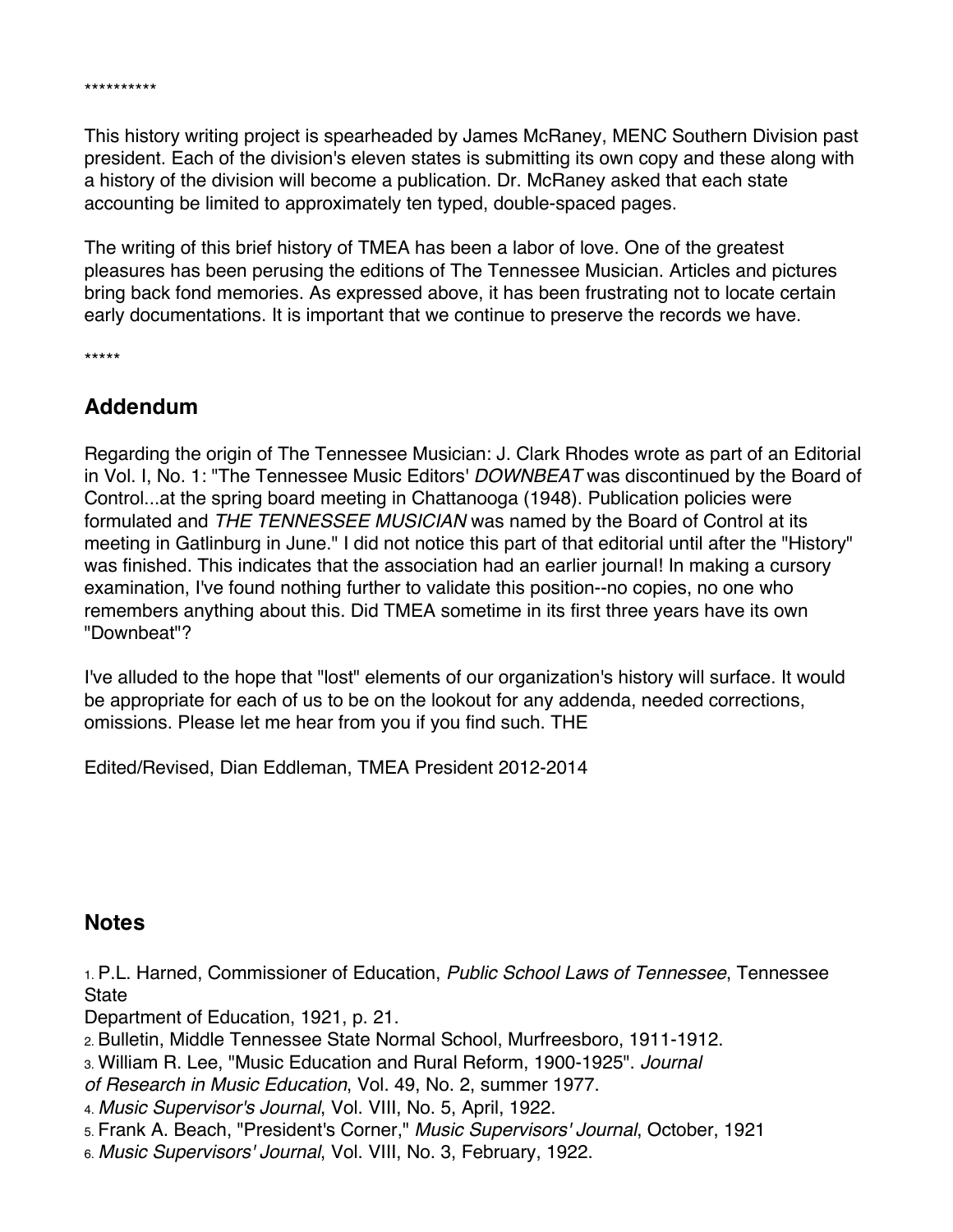This history writing project is spearheaded by James McRaney, MENC Southern Division past president. Each of the division's eleven states is submitting its own copy and these along with a history of the division will become a publication. Dr. McRaney asked that each state accounting be limited to approximately ten typed, double-spaced pages.

The writing of this brief history of TMEA has been a labor of love. One of the greatest pleasures has been perusing the editions of The Tennessee Musician. Articles and pictures bring back fond memories. As expressed above, it has been frustrating not to locate certain early documentations. It is important that we continue to preserve the records we have.

\*\*\*\*\*

\*\*\*\*\*\*\*\*\*\*

#### **Addendum**

Regarding the origin of The Tennessee Musician: J. Clark Rhodes wrote as part of an Editorial in Vol. I, No. 1: "The Tennessee Music Editors' *DOWNBEAT* was discontinued by the Board of Control...at the spring board meeting in Chattanooga (1948). Publication policies were formulated and *THE TENNESSEE MUSICIAN* was named by the Board of Control at its meeting in Gatlinburg in June." I did not notice this part of that editorial until after the "History" was finished. This indicates that the association had an earlier journal! In making a cursory examination, I've found nothing further to validate this position--no copies, no one who remembers anything about this. Did TMEA sometime in its first three years have its own "Downbeat"?

I've alluded to the hope that "lost" elements of our organization's history will surface. It would be appropriate for each of us to be on the lookout for any addenda, needed corrections, omissions. Please let me hear from you if you find such. THE

Edited/Revised, Dian Eddleman, TMEA President 2012-2014

#### **Notes**

1. P.L. Harned, Commissioner of Education, *Public School Laws of Tennessee*, Tennessee **State** 

Department of Education, 1921, p. 21.

- 2. Bulletin, Middle Tennessee State Normal School, Murfreesboro, 1911-1912.
- 3. William R. Lee, "Music Education and Rural Reform, 1900-1925". *Journal*
- *of Research in Music Education*, Vol. 49, No. 2, summer 1977.
- 4. *Music Supervisor's Journal*, Vol. VIII, No. 5, April, 1922.
- 5. Frank A. Beach, "President's Corner," *Music Supervisors' Journal*, October, 1921
- 6. *Music Supervisors' Journal*, Vol. VIII, No. 3, February, 1922.